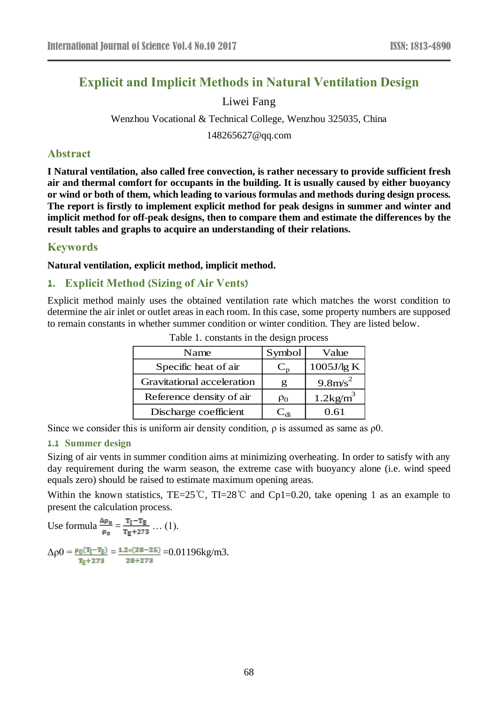# **Explicit and Implicit Methods in Natural Ventilation Design**

### Liwei Fang

# Wenzhou Vocational & Technical College, Wenzhou 325035, China

148265627@qq.com

### **Abstract**

**I Natural ventilation, also called free convection, is rather necessary to provide sufficient fresh air and thermal comfort for occupants in the building. It is usually caused by either buoyancy or wind or both of them, which leading to various formulas and methods during design process. The report is firstly to implement explicit method for peak designs in summer and winter and implicit method for off-peak designs, then to compare them and estimate the differences by the result tables and graphs to acquire an understanding of their relations.**

### **Keywords**

**Natural ventilation, explicit method, implicit method.**

### **1. Explicit Method (Sizing of Air Vents)**

Explicit method mainly uses the obtained ventilation rate which matches the worst condition to determine the air inlet or outlet areas in each room. In this case, some property numbers are supposed to remain constants in whether summer condition or winter condition. They are listed below.

| Name                       | Symbol   | Value                |
|----------------------------|----------|----------------------|
| Specific heat of air       | $C_{n}$  | 1005J/g K            |
| Gravitational acceleration | g        | $9.8 \text{m/s}^2$   |
| Reference density of air   | $\rho_0$ | $1.2\mathrm{kg/m}^3$ |
| Discharge coefficient      |          | 0.61                 |

Table 1. constants in the design process

Since we consider this is uniform air density condition,  $\rho$  is assumed as same as  $\rho$ 0.

#### **1.1 Summer design**

Sizing of air vents in summer condition aims at minimizing overheating. In order to satisfy with any day requirement during the warm season, the extreme case with buoyancy alone (i.e. wind speed equals zero) should be raised to estimate maximum opening areas.

Within the known statistics, TE=25°C, TI=28°C and Cp1=0.20, take opening 1 as an example to present the calculation process.

Use formula  $\frac{\Delta \rho_0}{\rho_0} = \frac{T_I - T_E}{T_E + 273}$  ... (1).  $\Delta \rho 0 = \frac{\rho_0 (T_I - T_E)}{T_E + 273} = \frac{1.2*(28 - 25)}{28 + 273} = 0.01196 \text{kg/m3}.$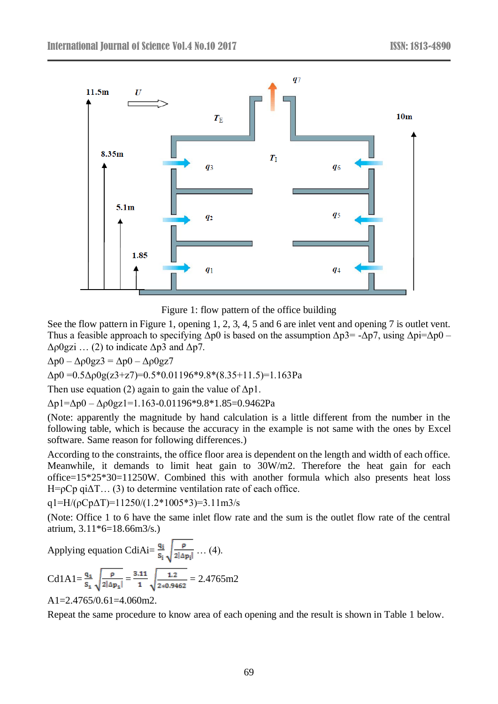

Figure 1: flow pattern of the office building

See the flow pattern in Figure 1, opening 1, 2, 3, 4, 5 and 6 are inlet vent and opening 7 is outlet vent. Thus a feasible approach to specifying  $\Delta p0$  is based on the assumption  $\Delta p3 = -\Delta p7$ , using  $\Delta p i = \Delta p0$  –  $Δρ0gzi$  ... (2) to indicate  $Δp3$  and  $Δp7$ .

 $Δp0 – Δp0gz3 = Δp0 – Δp0gz7$ 

 $\Delta p0 = 0.5 \Delta \rho 0g(z3+z7) = 0.5*0.01196*9.8*(8.35+11.5) = 1.163Pa$ 

Then use equation (2) again to gain the value of  $\Delta p1$ .

 $\Delta p1 = \Delta p0 - \Delta p0gz1 = 1.163 - 0.01196 * 9.8 * 1.85 = 0.9462 Pa$ 

(Note: apparently the magnitude by hand calculation is a little different from the number in the following table, which is because the accuracy in the example is not same with the ones by Excel software. Same reason for following differences.)

According to the constraints, the office floor area is dependent on the length and width of each office. Meanwhile, it demands to limit heat gain to 30W/m2. Therefore the heat gain for each office=15\*25\*30=11250W. Combined this with another formula which also presents heat loss H= $pCp$  qi $\Delta T$ ... (3) to determine ventilation rate of each office.

q1=H/( $pCp\Delta T$ )=11250/(1.2\*1005\*3)=3.11m3/s

(Note: Office 1 to 6 have the same inlet flow rate and the sum is the outlet flow rate of the central atrium, 3.11\*6=18.66m3/s.)

Applying equation CdiAi= $\frac{q_i}{s_i} \sqrt{\frac{p}{2|\Delta p_i|}}$  ... (4).

$$
Cd1A1 = \frac{q_1}{s_1} \sqrt{\frac{\rho}{2|\Delta p_1|}} = \frac{3.11}{1} \sqrt{\frac{1.2}{2*0.9462}} = 2.4765 \text{m}2
$$

A1=2.4765/0.61=4.060m2.

Repeat the same procedure to know area of each opening and the result is shown in Table 1 below.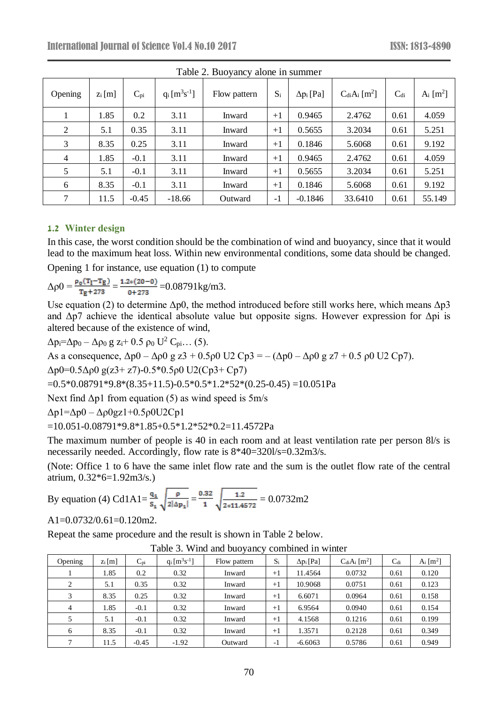| $14010$ $\mu$ , $1540$ , $14010$ $\mu$ , $14010$ |                                |          |                   |              |       |                   |                           |                 |                          |  |  |
|--------------------------------------------------|--------------------------------|----------|-------------------|--------------|-------|-------------------|---------------------------|-----------------|--------------------------|--|--|
| Opening                                          | $\mathop{\rm Zi}\nolimits$ [m] | $C_{pi}$ | $q_i [m^3s^{-1}]$ | Flow pattern | $S_i$ | $\Delta p_i$ [Pa] | $CdiAi$ [m <sup>2</sup> ] | C <sub>di</sub> | Ai $\text{[m}^2\text{]}$ |  |  |
|                                                  | 1.85                           | 0.2      | 3.11              | Inward       | $+1$  | 0.9465            | 2.4762                    | 0.61            | 4.059                    |  |  |
| 2                                                | 5.1                            | 0.35     | 3.11              | Inward       | $+1$  | 0.5655            | 3.2034                    | 0.61            | 5.251                    |  |  |
| 3                                                | 8.35                           | 0.25     | 3.11              | Inward       | $+1$  | 0.1846            | 5.6068                    | 0.61            | 9.192                    |  |  |
| 4                                                | 1.85                           | $-0.1$   | 3.11              | Inward       | $+1$  | 0.9465            | 2.4762                    | 0.61            | 4.059                    |  |  |
| 5                                                | 5.1                            | $-0.1$   | 3.11              | Inward       | $+1$  | 0.5655            | 3.2034                    | 0.61            | 5.251                    |  |  |
| 6                                                | 8.35                           | $-0.1$   | 3.11              | Inward       | $+1$  | 0.1846            | 5.6068                    | 0.61            | 9.192                    |  |  |
| 7                                                | 11.5                           | $-0.45$  | $-18.66$          | Outward      | $-1$  | $-0.1846$         | 33.6410                   | 0.61            | 55.149                   |  |  |

Table 2. Buoyancy alone in summer

#### **1.2 Winter design**

In this case, the worst condition should be the combination of wind and buoyancy, since that it would lead to the maximum heat loss. Within new environmental conditions, some data should be changed.

Opening 1 for instance, use equation (1) to compute

 $\Delta \rho 0 = \frac{\rho_0 (T_I - T_E)}{T_E + 273} = \frac{1.2*(20-0)}{0+273} = 0.08791 \text{kg/m3}.$ 

Use equation (2) to determine  $\Delta p0$ , the method introduced before still works here, which means  $\Delta p3$ and  $\Delta p$ 7 achieve the identical absolute value but opposite signs. However expression for  $\Delta p$ i is altered because of the existence of wind,

$$
\Delta p_i = \Delta p_0 - \Delta p_0 g z_i + 0.5 p_0 U^2 C_{pi} \dots (5).
$$
  
As a consequence,  $\Delta p_0 - \Delta p_0 g z_3 + 0.5 p_0 U^2 C_{pi} = -(\Delta p_0 - \Delta p_0 g z_7 + 0.5 p_0 U^2 C_{pi})$ .  
 $\Delta p_0 = 0.5 \Delta p_0 g (z_3 + z_7) - 0.5 * 0.5 p_0 U^2 (C_{pi} + C_{pi} - 0.5)$   
= 0.5 \* 0.08791 \* 9.8 \* (8.35 + 11.5) - 0.5 \* 0.5 \* 1.2 \* 52 \* (0.25 - 0.45) = 10.051 Pa  
Next find  $\Delta p_1$  from equation (5) as wind speed is 5 m/s

Δp1=Δp0 – Δρ0gz1+0.5ρ0U2Cp1

=10.051-0.08791\*9.8\*1.85+0.5\*1.2\*52\*0.2=11.4572Pa

The maximum number of people is 40 in each room and at least ventilation rate per person 8l/s is necessarily needed. Accordingly, flow rate is 8\*40=320l/s=0.32m3/s.

(Note: Office 1 to 6 have the same inlet flow rate and the sum is the outlet flow rate of the central atrium, 0.32\*6=1.92m3/s.)

By equation (4) Cd1A1= $\frac{q_1}{s_1}$  $\sqrt{\frac{\rho}{2|\Delta p_1|}} = \frac{0.32}{1}$  $\sqrt{\frac{1.2}{2*11.4572}} = 0.0732 \text{m}2$ 

A1=0.0732/0.61=0.120m2.

Repeat the same procedure and the result is shown in Table 2 below.

|               |          |              |                       | ┙            |       |                   |                               |          |                        |
|---------------|----------|--------------|-----------------------|--------------|-------|-------------------|-------------------------------|----------|------------------------|
| Opening       | $Z_i[m]$ | $C_{\rm pi}$ | $q_i$ [ $m^3s^{-1}$ ] | Flow pattern | $S_i$ | $\Delta p_i$ [Pa] | $C_{di}A_i$ [m <sup>2</sup> ] | $C_{di}$ | A <sub>i</sub> $[m^2]$ |
|               | 1.85     | 0.2          | 0.32                  | Inward       | $+1$  | 11.4564           | 0.0732                        | 0.61     | 0.120                  |
| $\mathcal{L}$ | 5.1      | 0.35         | 0.32                  | Inward       | $+1$  | 10.9068           | 0.0751                        | 0.61     | 0.123                  |
| 3             | 8.35     | 0.25         | 0.32                  | Inward       | $+1$  | 6.6071            | 0.0964                        | 0.61     | 0.158                  |
| 4             | 1.85     | $-0.1$       | 0.32                  | Inward       | $+1$  | 6.9564            | 0.0940                        | 0.61     | 0.154                  |
|               | 5.1      | $-0.1$       | 0.32                  | Inward       | $+1$  | 4.1568            | 0.1216                        | 0.61     | 0.199                  |
| 6             | 8.35     | $-0.1$       | 0.32                  | Inward       | $+1$  | 1.3571            | 0.2128                        | 0.61     | 0.349                  |
|               | 11.5     | $-0.45$      | $-1.92$               | Outward      | -1    | $-6.6063$         | 0.5786                        | 0.61     | 0.949                  |

Table 3. Wind and buoyancy combined in winter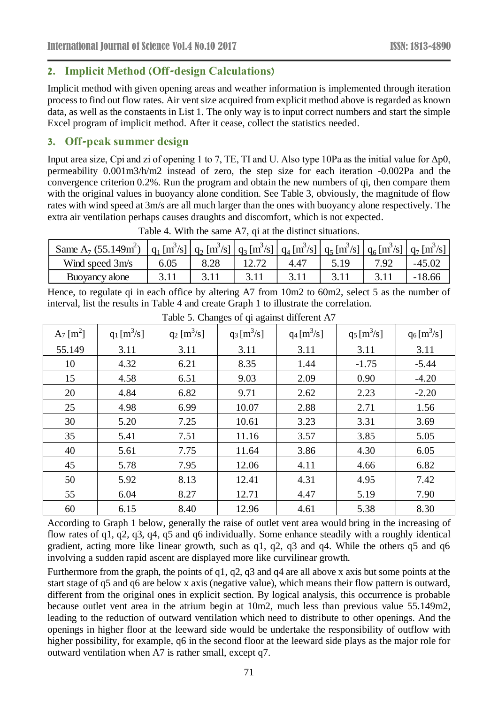# **2. Implicit Method (Off-design Calculations)**

Implicit method with given opening areas and weather information is implemented through iteration process to find out flow rates. Air vent size acquired from explicit method above is regarded as known data, as well as the constaents in List 1. The only way is to input correct numbers and start the simple Excel program of implicit method. After it cease, collect the statistics needed.

# **3. Off-peak summer design**

Input area size, Cpi and zi of opening 1 to 7, TE, TI and U. Also type 10Pa as the initial value for  $\Delta p0$ , permeability 0.001m3/h/m2 instead of zero, the step size for each iteration -0.002Pa and the convergence criterion 0.2%. Run the program and obtain the new numbers of qi, then compare them with the original values in buoyancy alone condition. See Table 3, obviously, the magnitude of flow rates with wind speed at 3m/s are all much larger than the ones with buoyancy alone respectively. The extra air ventilation perhaps causes draughts and discomfort, which is not expected.

| Same A <sub>7</sub> $(55.149m^2)$ |      | $\left[ q_1 \, [\text{m}^3/\text{s}] \, \right] q_2 \, [\text{m}^3/\text{s}] \, \left[ q_3 \, [\text{m}^3/\text{s}] \, \right] q_4 \, [\text{m}^3/\text{s}] \, \left[ q_5 \, [\text{m}^3/\text{s}] \, \right] q_6 \, [\text{m}^3/\text{s}] \, \left[ q_7 \, [\text{m}^3/\text{s}] \, \right]$ |      |  |          |
|-----------------------------------|------|-----------------------------------------------------------------------------------------------------------------------------------------------------------------------------------------------------------------------------------------------------------------------------------------------|------|--|----------|
| Wind speed 3m/s                   | 6.05 | 8.28                                                                                                                                                                                                                                                                                          | 4.47 |  | $-45.02$ |
| Buoyancy alone                    |      |                                                                                                                                                                                                                                                                                               |      |  | $-18.66$ |

Table 4. With the same A7, qi at the distinct situations.

Hence, to regulate qi in each office by altering A7 from 10m2 to 60m2, select 5 as the number of interval, list the results in Table 4 and create Graph 1 to illustrate the correlation.

| $A_7$ [m <sup>2</sup> ] | $q_1$ [m <sup>3</sup> /s] | $q_2 \,[\mathrm{m}^3/\mathrm{s}]$ | $q_3 [m^3/s]$ | $q_4 [m^3/s]$ | $q_5 [m^3/s]$ | $q_6$ [m <sup>3</sup> /s] |
|-------------------------|---------------------------|-----------------------------------|---------------|---------------|---------------|---------------------------|
| 55.149                  | 3.11                      | 3.11                              | 3.11          | 3.11          | 3.11          | 3.11                      |
| 10                      | 4.32                      | 6.21                              | 8.35          | 1.44          | $-1.75$       | $-5.44$                   |
| 15                      | 4.58                      | 6.51                              | 9.03          | 2.09          | 0.90          | $-4.20$                   |
| 20                      | 4.84                      | 6.82                              | 9.71          | 2.62          | 2.23          | $-2.20$                   |
| 25                      | 4.98                      | 6.99                              | 10.07         | 2.88          | 2.71          | 1.56                      |
| 30                      | 5.20                      | 7.25                              | 10.61         | 3.23          | 3.31          | 3.69                      |
| 35                      | 5.41                      | 7.51                              | 11.16         | 3.57          | 3.85          | 5.05                      |
| 40                      | 5.61                      | 7.75                              | 11.64         | 3.86          | 4.30          | 6.05                      |
| 45                      | 5.78                      | 7.95                              | 12.06         | 4.11          | 4.66          | 6.82                      |
| 50                      | 5.92                      | 8.13                              | 12.41         | 4.31          | 4.95          | 7.42                      |
| 55                      | 6.04                      | 8.27                              | 12.71         | 4.47          | 5.19          | 7.90                      |
| 60                      | 6.15                      | 8.40                              | 12.96         | 4.61          | 5.38          | 8.30                      |

Table 5. Changes of qi against different A7

According to Graph 1 below, generally the raise of outlet vent area would bring in the increasing of flow rates of q1, q2, q3, q4, q5 and q6 individually. Some enhance steadily with a roughly identical gradient, acting more like linear growth, such as q1, q2, q3 and q4. While the others q5 and q6 involving a sudden rapid ascent are displayed more like curvilinear growth.

Furthermore from the graph, the points of q1, q2, q3 and q4 are all above x axis but some points at the start stage of q5 and q6 are below x axis (negative value), which means their flow pattern is outward, different from the original ones in explicit section. By logical analysis, this occurrence is probable because outlet vent area in the atrium begin at 10m2, much less than previous value 55.149m2, leading to the reduction of outward ventilation which need to distribute to other openings. And the openings in higher floor at the leeward side would be undertake the responsibility of outflow with higher possibility, for example, q6 in the second floor at the leeward side plays as the major role for outward ventilation when A7 is rather small, except q7.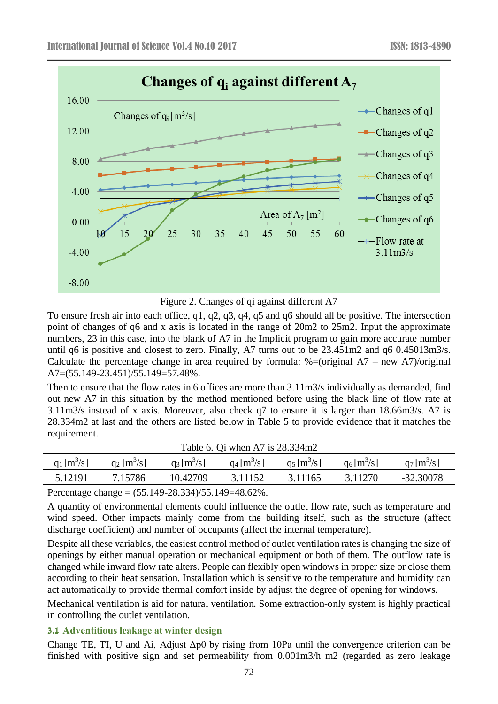

Figure 2. Changes of qi against different A7

To ensure fresh air into each office, q1, q2, q3, q4, q5 and q6 should all be positive. The intersection point of changes of q6 and x axis is located in the range of 20m2 to 25m2. Input the approximate numbers, 23 in this case, into the blank of A7 in the Implicit program to gain more accurate number until q6 is positive and closest to zero. Finally, A7 turns out to be 23.451m2 and q6 0.45013m3/s. Calculate the percentage change in area required by formula:  $%=(original A7 - new A7)/original$ A7=(55.149-23.451)/55.149=57.48%.

Then to ensure that the flow rates in 6 offices are more than 3.11m3/s individually as demanded, find out new A7 in this situation by the method mentioned before using the black line of flow rate at 3.11m3/s instead of x axis. Moreover, also check q7 to ensure it is larger than 18.66m3/s. A7 is 28.334m2 at last and the others are listed below in Table 5 to provide evidence that it matches the requirement.

|                           | <b>1 AUR 0. OF WHEN TV 13 20.00 THIZ</b> |                           |                           |               |                           |               |  |  |  |  |  |
|---------------------------|------------------------------------------|---------------------------|---------------------------|---------------|---------------------------|---------------|--|--|--|--|--|
| $q_1$ [m <sup>3</sup> /s] | $q_2 \,[\mathrm{m}^3/\mathrm{s}]$        | $q_3$ [m <sup>3</sup> /s] | $q_4$ [m <sup>3</sup> /s] | $q_5 [m^3/s]$ | $q_6$ [m <sup>3</sup> /s] | $q_7 [m^3/s]$ |  |  |  |  |  |
| 5.12191                   | 7.15786                                  | 10.42709                  | 3.11152                   | 3.11165       | 3.11270                   | $-32.30078$   |  |  |  |  |  |
|                           |                                          |                           |                           |               |                           |               |  |  |  |  |  |

|  |  |  | Table 6. Qi when A7 is $28.334m2$ |
|--|--|--|-----------------------------------|
|--|--|--|-----------------------------------|

Percentage change = (55.149-28.334)/55.149=48.62%.

A quantity of environmental elements could influence the outlet flow rate, such as temperature and wind speed. Other impacts mainly come from the building itself, such as the structure (affect discharge coefficient) and number of occupants (affect the internal temperature).

Despite all these variables, the easiest control method of outlet ventilation rates is changing the size of openings by either manual operation or mechanical equipment or both of them. The outflow rate is changed while inward flow rate alters. People can flexibly open windows in proper size or close them according to their heat sensation. Installation which is sensitive to the temperature and humidity can act automatically to provide thermal comfort inside by adjust the degree of opening for windows.

Mechanical ventilation is aid for natural ventilation. Some extraction-only system is highly practical in controlling the outlet ventilation.

#### **3.1 Adventitious leakage at winter design**

Change TE, TI, U and Ai, Adjust  $\Delta p0$  by rising from 10Pa until the convergence criterion can be finished with positive sign and set permeability from 0.001m3/h m2 (regarded as zero leakage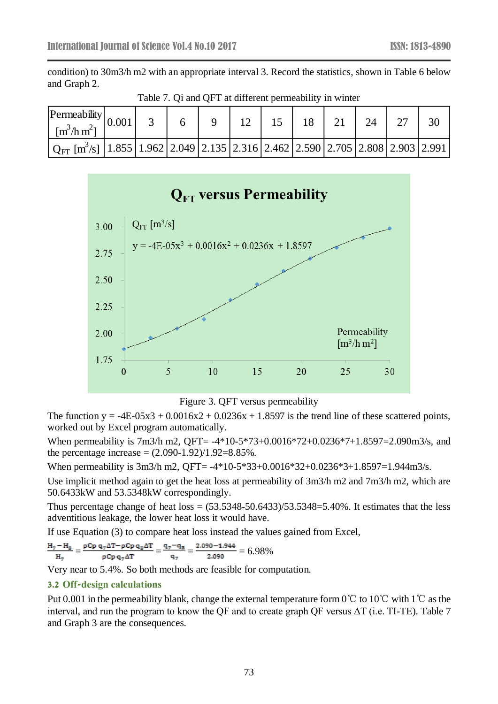condition) to 30m3/h m2 with an appropriate interval 3. Record the statistics, shown in Table 6 below and Graph 2.

| $\left \text{Permeability}\right _0$<br>$\left[\text{m}^3/\text{h}\,\text{m}^2\right]$                                      | 0.001 |  |  |  |  | 30 |
|-----------------------------------------------------------------------------------------------------------------------------|-------|--|--|--|--|----|
| $Q_{\text{FT}}$ [m <sup>3</sup> /s]   1.855   1.962   2.049   2.135   2.316   2.462   2.590   2.705   2.808   2.903   2.991 |       |  |  |  |  |    |

Table 7. Qi and QFT at different permeability in winter



Figure 3. QFT versus permeability

The function  $y = -4E-05x^3 + 0.0016x^2 + 0.0236x + 1.8597$  is the trend line of these scattered points, worked out by Excel program automatically.

When permeability is 7m3/h m2, QFT= -4\*10-5\*73+0.0016\*72+0.0236\*7+1.8597=2.090m3/s, and the percentage increase =  $(2.090-1.92)/1.92=8.85\%$ .

When permeability is 3m3/h m2, QFT= -4\*10-5\*33+0.0016\*32+0.0236\*3+1.8597=1.944m3/s.

Use implicit method again to get the heat loss at permeability of 3m3/h m2 and 7m3/h m2, which are 50.6433kW and 53.5348kW correspondingly.

Thus percentage change of heat  $loss = (53.5348-50.6433)/53.5348=5.40\%$ . It estimates that the less adventitious leakage, the lower heat loss it would have.

If use Equation (3) to compare heat loss instead the values gained from Excel,

$$
\frac{H_7 - H_8}{H_7} = \frac{\rho Cp \, q_7 \Delta T - \rho Cp \, q_8 \Delta T}{\rho Cp \, q_7 \Delta T} = \frac{q_7 - q_8}{q_7} = \frac{2.090 - 1.944}{2.090} = 6.98\%
$$

Very near to 5.4%. So both methods are feasible for computation.

#### **3.2 Off-design calculations**

Put 0.001 in the permeability blank, change the external temperature form 0℃ to 10℃ with 1℃ as the interval, and run the program to know the QF and to create graph QF versus  $\Delta T$  (i.e. TI-TE). Table 7 and Graph 3 are the consequences.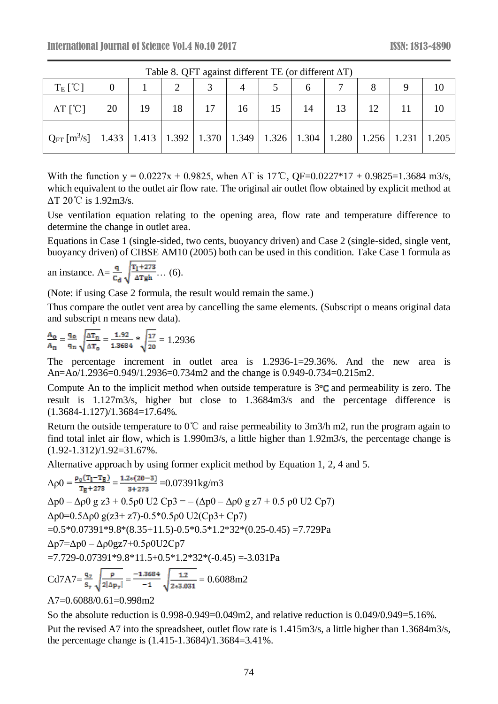| $1$ ave $\sigma$ . Or T against unterent TE (or unterent $\Delta T$ )                                                |  |    |  |  |                                  |  |  |  |  |  |  |
|----------------------------------------------------------------------------------------------------------------------|--|----|--|--|----------------------------------|--|--|--|--|--|--|
| $T_E$ [°C]                                                                                                           |  |    |  |  |                                  |  |  |  |  |  |  |
| $\Delta T$ [°C]   20                                                                                                 |  | 19 |  |  | 18   17   16   15   14   13   12 |  |  |  |  |  |  |
| $Q_{FT}$ [m <sup>3</sup> /s]   1.433   1.413   1.392   1.370   1.349   1.326   1.304   1.280   1.256   1.231   1.205 |  |    |  |  |                                  |  |  |  |  |  |  |

Table 8. QFT against different TE (or different ΔT)

With the function y = 0.0227x + 0.9825, when  $\Delta T$  is 17°C, QF=0.0227\*17 + 0.9825=1.3684 m3/s, which equivalent to the outlet air flow rate. The original air outlet flow obtained by explicit method at ΔT 20℃ is 1.92m3/s.

Use ventilation equation relating to the opening area, flow rate and temperature difference to determine the change in outlet area.

Equations in Case 1 (single-sided, two cents, buoyancy driven) and Case 2 (single-sided, single vent, buoyancy driven) of CIBSE AM10 (2005) both can be used in this condition. Take Case 1 formula as

an instance.  $A = \frac{q}{c_d} \sqrt{\frac{T_1 + 273}{\Delta T g h}} \dots (6)$ .

(Note: if using Case 2 formula, the result would remain the same.)

Thus compare the outlet vent area by cancelling the same elements. (Subscript o means original data and subscript n means new data).

$$
\frac{A_o}{A_n} = \frac{q_o}{q_n} \sqrt{\frac{\Delta T_n}{\Delta T_o}} = \frac{1.92}{1.3684} * \sqrt{\frac{17}{20}} = 1.2936
$$

The percentage increment in outlet area is 1.2936-1=29.36%. And the new area is An=Ao/1.2936=0.949/1.2936=0.734m2 and the change is 0.949-0.734=0.215m2.

Compute An to the implicit method when outside temperature is  $3^\circ$ C and permeability is zero. The result is 1.127m3/s, higher but close to 1.3684m3/s and the percentage difference is (1.3684-1.127)/1.3684=17.64%.

Return the outside temperature to 0℃ and raise permeability to 3m3/h m2, run the program again to find total inlet air flow, which is 1.990m3/s, a little higher than 1.92m3/s, the percentage change is  $(1.92 - 1.312)/1.92 = 31.67\%$ .

Alternative approach by using former explicit method by Equation 1, 2, 4 and 5.

$$
\Delta \rho 0 = \frac{\rho_0 (T_1 - T_E)}{T_E + 273} = \frac{1.2*(20 - 3)}{3 + 273} = 0.07391 \text{ kg/m3}
$$
  
\n
$$
\Delta p 0 - \Delta \rho 0 \text{ g } z3 + 0.5 \rho 0 \text{ U2 Cp3} = -(\Delta p 0 - \Delta \rho 0 \text{ g } z7 + 0.5 \rho 0 \text{ U2 Cp7})
$$
  
\n
$$
\Delta p 0 = 0.5 \Delta \rho 0 \text{ g} (z3 + z7) - 0.5*0.5 \rho 0 \text{ U2 (Cp3 + Cp7)}
$$
  
\n=0.5\*0.07391\*9.8\*(8.35+11.5)-0.5\*0.5\*1.2\*32\*(0.25-0.45) =7.729 Pa  
\n
$$
\Delta p 7 = \Delta p 0 - \Delta \rho 0 \text{ g } z 7 + 0.5 \rho 0 \text{ U } 2 \text{ Cp7}
$$
  
\n=7.729-0.07391\*9.8\*11.5+0.5\*1.2\*32\*(-0.45) =-3.031 Pa

Cd7A7= $\frac{q_7}{s_7}$  $\sqrt{\frac{p}{2|\Delta p_7|}} = \frac{-1.3684}{-1}$  $\sqrt{\frac{1.2}{2*3.031}} = 0.6088 \text{m}2$ 

A7=0.6088/0.61=0.998m2

So the absolute reduction is 0.998-0.949=0.049m2, and relative reduction is 0.049/0.949=5.16%.

Put the revised A7 into the spreadsheet, outlet flow rate is 1.415m3/s, a little higher than 1.3684m3/s, the percentage change is (1.415-1.3684)/1.3684=3.41%.